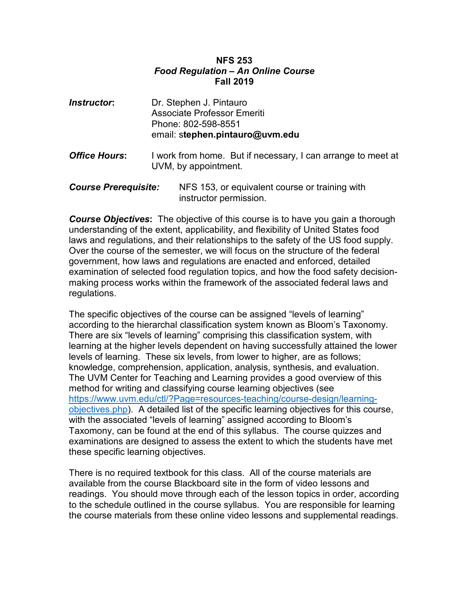#### **NFS 253** *Food Regulation – An Online Course* **Fall 2019**

| <b>Instructor:</b>          |  | Dr. Stephen J. Pintauro<br><b>Associate Professor Emeriti</b><br>Phone: 802-598-8551<br>email: stephen.pintauro@uvm.edu |  |
|-----------------------------|--|-------------------------------------------------------------------------------------------------------------------------|--|
| <b>Office Hours:</b>        |  | I work from home. But if necessary, I can arrange to meet at<br>UVM, by appointment.                                    |  |
| <b>Course Prerequisite:</b> |  | NFS 153, or equivalent course or training with<br>instructor permission.                                                |  |

**Course Objectives:** The objective of this course is to have you gain a thorough understanding of the extent, applicability, and flexibility of United States food laws and regulations, and their relationships to the safety of the US food supply. Over the course of the semester, we will focus on the structure of the federal government, how laws and regulations are enacted and enforced, detailed examination of selected food regulation topics, and how the food safety decisionmaking process works within the framework of the associated federal laws and regulations.

The specific objectives of the course can be assigned "levels of learning" according to the hierarchal classification system known as Bloom's Taxonomy. There are six "levels of learning" comprising this classification system, with learning at the higher levels dependent on having successfully attained the lower levels of learning. These six levels, from lower to higher, are as follows; knowledge, comprehension, application, analysis, synthesis, and evaluation. The UVM Center for Teaching and Learning provides a good overview of this method for writing and classifying course learning objectives (see [https://www.uvm.edu/ctl/?Page=resources-teaching/course-design/learning](https://www.uvm.edu/ctl/?Page=resources-teaching/course-design/learning-objectives.php)[objectives.php\)](https://www.uvm.edu/ctl/?Page=resources-teaching/course-design/learning-objectives.php). A detailed list of the specific learning objectives for this course, with the associated "levels of learning" assigned according to Bloom's Taxomony, can be found at the end of this syllabus. The course quizzes and examinations are designed to assess the extent to which the students have met these specific learning objectives.

There is no required textbook for this class. All of the course materials are available from the course Blackboard site in the form of video lessons and readings. You should move through each of the lesson topics in order, according to the schedule outlined in the course syllabus. You are responsible for learning the course materials from these online video lessons and supplemental readings.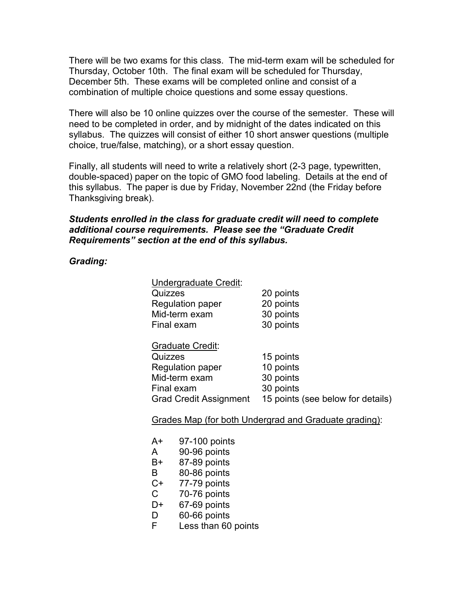There will be two exams for this class. The mid-term exam will be scheduled for Thursday, October 10th. The final exam will be scheduled for Thursday, December 5th. These exams will be completed online and consist of a combination of multiple choice questions and some essay questions.

There will also be 10 online quizzes over the course of the semester. These will need to be completed in order, and by midnight of the dates indicated on this syllabus. The quizzes will consist of either 10 short answer questions (multiple choice, true/false, matching), or a short essay question.

Finally, all students will need to write a relatively short (2-3 page, typewritten, double-spaced) paper on the topic of GMO food labeling. Details at the end of this syllabus. The paper is due by Friday, November 22nd (the Friday before Thanksgiving break).

#### *Students enrolled in the class for graduate credit will need to complete additional course requirements. Please see the "Graduate Credit Requirements" section at the end of this syllabus.*

*Grading:*

| Undergraduate Credit:         |                                   |
|-------------------------------|-----------------------------------|
| Quizzes                       | 20 points                         |
| <b>Regulation paper</b>       | 20 points                         |
| Mid-term exam                 | 30 points                         |
| Final exam                    | 30 points                         |
| <b>Graduate Credit:</b>       |                                   |
| Quizzes                       | 15 points                         |
| <b>Regulation paper</b>       | 10 points                         |
| Mid-term exam                 | 30 points                         |
| Final exam                    | 30 points                         |
| <b>Grad Credit Assignment</b> | 15 points (see below for details) |

Grades Map (for both Undergrad and Graduate grading):

- A+ 97-100 points
- A 90-96 points
- B+ 87-89 points
- B 80-86 points
- C+ 77-79 points
- C 70-76 points
- D+ 67-69 points
- D 60-66 points
- F Less than 60 points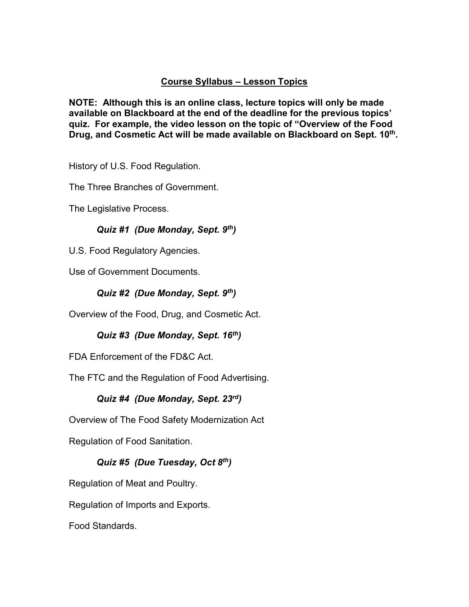## **Course Syllabus – Lesson Topics**

**NOTE: Although this is an online class, lecture topics will only be made available on Blackboard at the end of the deadline for the previous topics' quiz. For example, the video lesson on the topic of "Overview of the Food**  Drug, and Cosmetic Act will be made available on Blackboard on Sept. 10<sup>th</sup>.

History of U.S. Food Regulation.

The Three Branches of Government.

The Legislative Process.

### *Quiz #1 (Due Monday, Sept. 9th)*

U.S. Food Regulatory Agencies.

Use of Government Documents.

### *Quiz #2 (Due Monday, Sept. 9th)*

Overview of the Food, Drug, and Cosmetic Act.

*Quiz #3 (Due Monday, Sept. 16th)*

FDA Enforcement of the FD&C Act.

The FTC and the Regulation of Food Advertising.

### *Quiz #4 (Due Monday, Sept. 23rd)*

Overview of The Food Safety Modernization Act

Regulation of Food Sanitation.

### *Quiz #5 (Due Tuesday, Oct 8th)*

Regulation of Meat and Poultry.

Regulation of Imports and Exports.

Food Standards.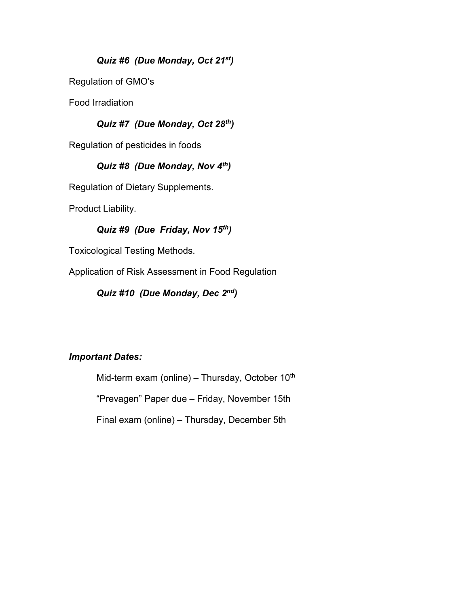# *Quiz #6 (Due Monday, Oct 21st)*

Regulation of GMO's

Food Irradiation

# *Quiz #7 (Due Monday, Oct 28th)*

Regulation of pesticides in foods

# *Quiz #8 (Due Monday, Nov 4th)*

Regulation of Dietary Supplements.

Product Liability.

### *Quiz #9 (Due Friday, Nov 15th)*

Toxicological Testing Methods.

Application of Risk Assessment in Food Regulation

*Quiz #10 (Due Monday, Dec 2nd)*

### *Important Dates:*

Mid-term exam (online) – Thursday, October  $10<sup>th</sup>$ "Prevagen" Paper due – Friday, November 15th Final exam (online) – Thursday, December 5th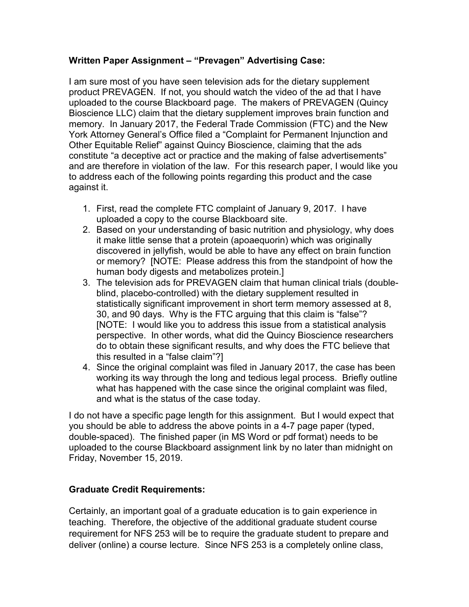### **Written Paper Assignment – "Prevagen" Advertising Case:**

I am sure most of you have seen television ads for the dietary supplement product PREVAGEN. If not, you should watch the video of the ad that I have uploaded to the course Blackboard page. The makers of PREVAGEN (Quincy Bioscience LLC) claim that the dietary supplement improves brain function and memory. In January 2017, the Federal Trade Commission (FTC) and the New York Attorney General's Office filed a "Complaint for Permanent Injunction and Other Equitable Relief" against Quincy Bioscience, claiming that the ads constitute "a deceptive act or practice and the making of false advertisements" and are therefore in violation of the law. For this research paper, I would like you to address each of the following points regarding this product and the case against it.

- 1. First, read the complete FTC complaint of January 9, 2017. I have uploaded a copy to the course Blackboard site.
- 2. Based on your understanding of basic nutrition and physiology, why does it make little sense that a protein (apoaequorin) which was originally discovered in jellyfish, would be able to have any effect on brain function or memory? [NOTE: Please address this from the standpoint of how the human body digests and metabolizes protein.]
- 3. The television ads for PREVAGEN claim that human clinical trials (doubleblind, placebo-controlled) with the dietary supplement resulted in statistically significant improvement in short term memory assessed at 8, 30, and 90 days. Why is the FTC arguing that this claim is "false"? [NOTE: I would like you to address this issue from a statistical analysis perspective. In other words, what did the Quincy Bioscience researchers do to obtain these significant results, and why does the FTC believe that this resulted in a "false claim"?]
- 4. Since the original complaint was filed in January 2017, the case has been working its way through the long and tedious legal process. Briefly outline what has happened with the case since the original complaint was filed, and what is the status of the case today.

I do not have a specific page length for this assignment. But I would expect that you should be able to address the above points in a 4-7 page paper (typed, double-spaced). The finished paper (in MS Word or pdf format) needs to be uploaded to the course Blackboard assignment link by no later than midnight on Friday, November 15, 2019.

### **Graduate Credit Requirements:**

Certainly, an important goal of a graduate education is to gain experience in teaching. Therefore, the objective of the additional graduate student course requirement for NFS 253 will be to require the graduate student to prepare and deliver (online) a course lecture. Since NFS 253 is a completely online class,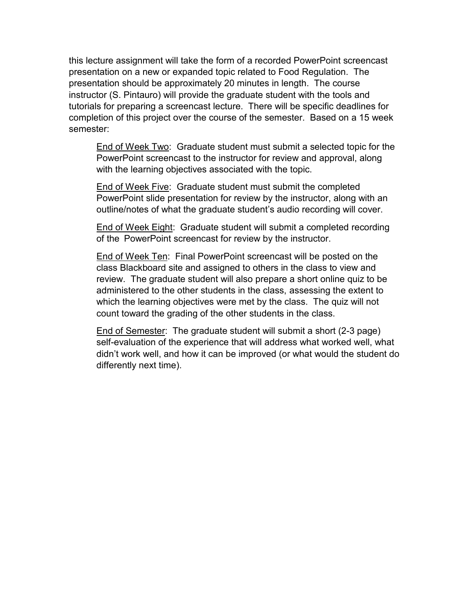this lecture assignment will take the form of a recorded PowerPoint screencast presentation on a new or expanded topic related to Food Regulation. The presentation should be approximately 20 minutes in length. The course instructor (S. Pintauro) will provide the graduate student with the tools and tutorials for preparing a screencast lecture. There will be specific deadlines for completion of this project over the course of the semester. Based on a 15 week semester:

End of Week Two: Graduate student must submit a selected topic for the PowerPoint screencast to the instructor for review and approval, along with the learning objectives associated with the topic.

End of Week Five: Graduate student must submit the completed PowerPoint slide presentation for review by the instructor, along with an outline/notes of what the graduate student's audio recording will cover.

End of Week Eight: Graduate student will submit a completed recording of the PowerPoint screencast for review by the instructor.

End of Week Ten: Final PowerPoint screencast will be posted on the class Blackboard site and assigned to others in the class to view and review. The graduate student will also prepare a short online quiz to be administered to the other students in the class, assessing the extent to which the learning objectives were met by the class. The quiz will not count toward the grading of the other students in the class.

End of Semester: The graduate student will submit a short (2-3 page) self-evaluation of the experience that will address what worked well, what didn't work well, and how it can be improved (or what would the student do differently next time).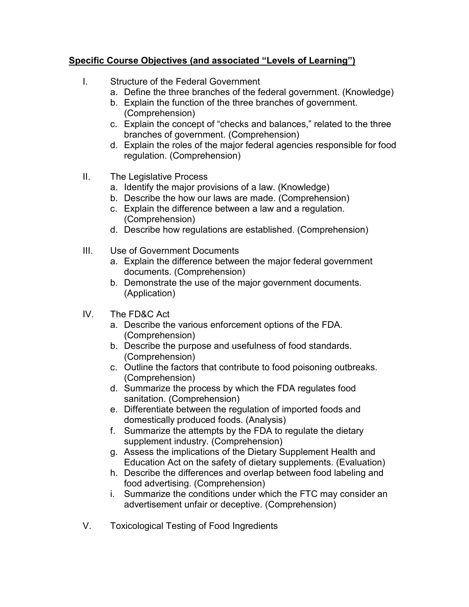# **Specific Course Objectives (and associated "Levels of Learning")**

- I. Structure of the Federal Government
	- a. Define the three branches of the federal government. (Knowledge)
	- b. Explain the function of the three branches of government. (Comprehension)
	- c. Explain the concept of "checks and balances," related to the three branches of government. (Comprehension)
	- d. Explain the roles of the major federal agencies responsible for food regulation. (Comprehension)
- II. The Legislative Process
	- a. Identify the major provisions of a law. (Knowledge)
	- b. Describe the how our laws are made. (Comprehension)
	- c. Explain the difference between a law and a regulation. (Comprehension)
	- d. Describe how regulations are established. (Comprehension)
- III. Use of Government Documents
	- a. Explain the difference between the major federal government documents. (Comprehension)
	- b. Demonstrate the use of the major government documents. (Application)
- IV. The FD&C Act
	- a. Describe the various enforcement options of the FDA. (Comprehension)
	- b. Describe the purpose and usefulness of food standards. (Comprehension)
	- c. Outline the factors that contribute to food poisoning outbreaks. (Comprehension)
	- d. Summarize the process by which the FDA regulates food sanitation. (Comprehension)
	- e. Differentiate between the regulation of imported foods and domestically produced foods. (Analysis)
	- f. Summarize the attempts by the FDA to regulate the dietary supplement industry. (Comprehension)
	- g. Assess the implications of the Dietary Supplement Health and Education Act on the safety of dietary supplements. (Evaluation)
	- h. Describe the differences and overlap between food labeling and food advertising. (Comprehension)
	- i. Summarize the conditions under which the FTC may consider an advertisement unfair or deceptive. (Comprehension)
- V. Toxicological Testing of Food Ingredients